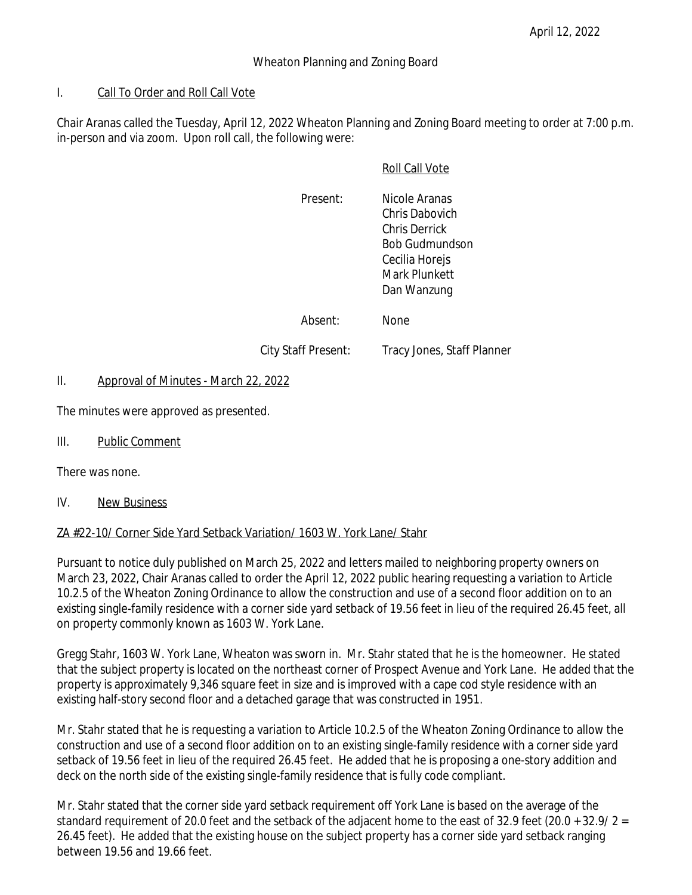### Wheaton Planning and Zoning Board

### I. Call To Order and Roll Call Vote

Chair Aranas called the Tuesday, April 12, 2022 Wheaton Planning and Zoning Board meeting to order at 7:00 p.m. in-person and via zoom. Upon roll call, the following were:

#### Roll Call Vote

Present: Nicole Aranas Chris Dabovich Chris Derrick Bob Gudmundson Cecilia Horejs Mark Plunkett Dan Wanzung

Absent: None

City Staff Present: Tracy Jones, Staff Planner

### II. Approval of Minutes - March 22, 2022

The minutes were approved as presented.

III. Public Comment

There was none.

IV. New Business

## ZA #22-10/ Corner Side Yard Setback Variation/ 1603 W. York Lane/ Stahr

Pursuant to notice duly published on March 25, 2022 and letters mailed to neighboring property owners on March 23, 2022, Chair Aranas called to order the April 12, 2022 public hearing requesting a variation to Article 10.2.5 of the Wheaton Zoning Ordinance to allow the construction and use of a second floor addition on to an existing single-family residence with a corner side yard setback of 19.56 feet in lieu of the required 26.45 feet, all on property commonly known as 1603 W. York Lane.

Gregg Stahr, 1603 W. York Lane, Wheaton was sworn in. Mr. Stahr stated that he is the homeowner. He stated that the subject property is located on the northeast corner of Prospect Avenue and York Lane. He added that the property is approximately 9,346 square feet in size and is improved with a cape cod style residence with an existing half-story second floor and a detached garage that was constructed in 1951.

Mr. Stahr stated that he is requesting a variation to Article 10.2.5 of the Wheaton Zoning Ordinance to allow the construction and use of a second floor addition on to an existing single-family residence with a corner side yard setback of 19.56 feet in lieu of the required 26.45 feet. He added that he is proposing a one-story addition and deck on the north side of the existing single-family residence that is fully code compliant.

Mr. Stahr stated that the corner side yard setback requirement off York Lane is based on the average of the standard requirement of 20.0 feet and the setback of the adjacent home to the east of 32.9 feet (20.0 + 32.9/ 2 = 26.45 feet). He added that the existing house on the subject property has a corner side yard setback ranging between 19.56 and 19.66 feet.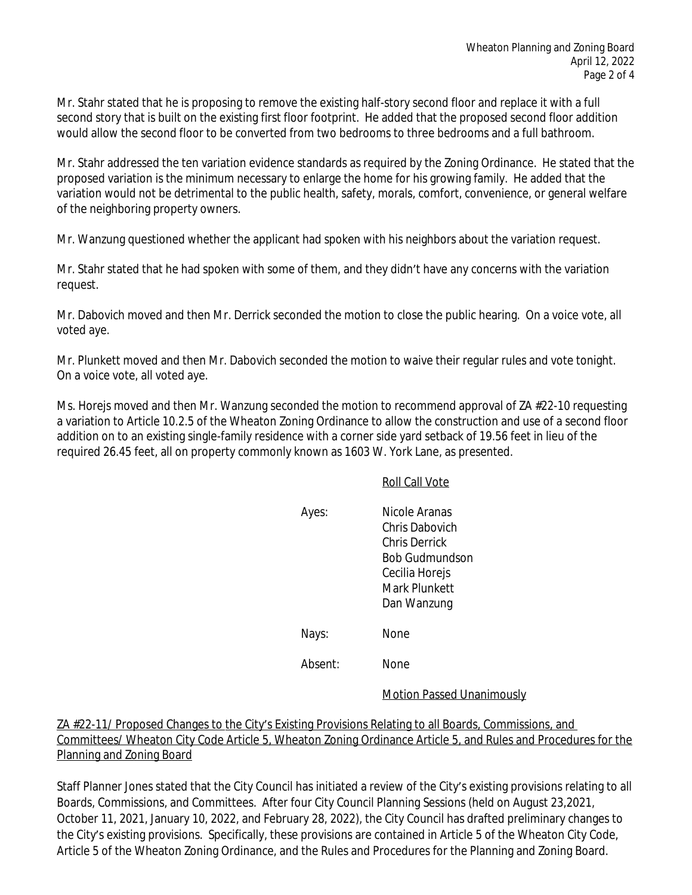Mr. Stahr stated that he is proposing to remove the existing half-story second floor and replace it with a full second story that is built on the existing first floor footprint. He added that the proposed second floor addition would allow the second floor to be converted from two bedrooms to three bedrooms and a full bathroom.

Mr. Stahr addressed the ten variation evidence standards as required by the Zoning Ordinance. He stated that the proposed variation is the minimum necessary to enlarge the home for his growing family. He added that the variation would not be detrimental to the public health, safety, morals, comfort, convenience, or general welfare of the neighboring property owners.

Mr. Wanzung questioned whether the applicant had spoken with his neighbors about the variation request.

Mr. Stahr stated that he had spoken with some of them, and they didn't have any concerns with the variation request.

Mr. Dabovich moved and then Mr. Derrick seconded the motion to close the public hearing. On a voice vote, all voted aye.

Mr. Plunkett moved and then Mr. Dabovich seconded the motion to waive their regular rules and vote tonight. On a voice vote, all voted aye.

Ms. Horejs moved and then Mr. Wanzung seconded the motion to recommend approval of ZA #22-10 requesting a variation to Article 10.2.5 of the Wheaton Zoning Ordinance to allow the construction and use of a second floor addition on to an existing single-family residence with a corner side yard setback of 19.56 feet in lieu of the required 26.45 feet, all on property commonly known as 1603 W. York Lane, as presented.

#### Roll Call Vote

Ayes: Nicole Aranas Chris Dabovich Chris Derrick Bob Gudmundson Cecilia Horejs Mark Plunkett Dan Wanzung Nays: None

Absent: None

## Motion Passed Unanimously

ZA #22-11/ Proposed Changes to the City's Existing Provisions Relating to all Boards, Commissions, and Committees/ Wheaton City Code Article 5, Wheaton Zoning Ordinance Article 5, and Rules and Procedures for the Planning and Zoning Board

Staff Planner Jones stated that the City Council has initiated a review of the City's existing provisions relating to all Boards, Commissions, and Committees. After four City Council Planning Sessions (held on August 23,2021, October 11, 2021, January 10, 2022, and February 28, 2022), the City Council has drafted preliminary changes to the City's existing provisions. Specifically, these provisions are contained in Article 5 of the Wheaton City Code, Article 5 of the Wheaton Zoning Ordinance, and the Rules and Procedures for the Planning and Zoning Board.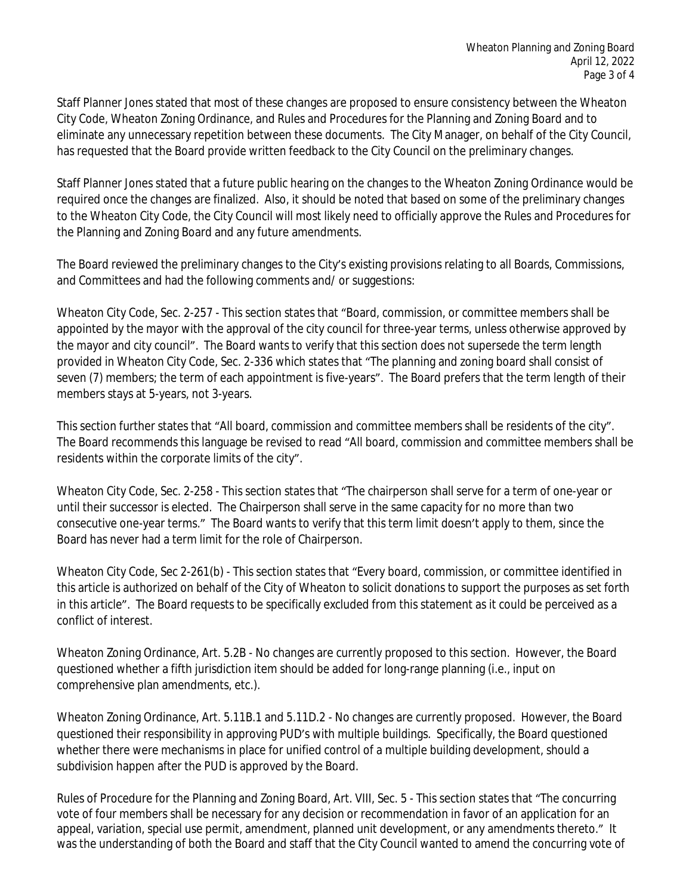Staff Planner Jones stated that most of these changes are proposed to ensure consistency between the Wheaton City Code, Wheaton Zoning Ordinance, and Rules and Procedures for the Planning and Zoning Board and to eliminate any unnecessary repetition between these documents. The City Manager, on behalf of the City Council, has requested that the Board provide written feedback to the City Council on the preliminary changes.

Staff Planner Jones stated that a future public hearing on the changes to the Wheaton Zoning Ordinance would be required once the changes are finalized. Also, it should be noted that based on some of the preliminary changes to the Wheaton City Code, the City Council will most likely need to officially approve the Rules and Procedures for the Planning and Zoning Board and any future amendments.

The Board reviewed the preliminary changes to the City's existing provisions relating to all Boards, Commissions, and Committees and had the following comments and/ or suggestions:

Wheaton City Code, Sec. 2-257 - This section states that "Board, commission, or committee members shall be appointed by the mayor with the approval of the city council for three-year terms, unless otherwise approved by the mayor and city council". The Board wants to verify that this section does not supersede the term length provided in Wheaton City Code, Sec. 2-336 which states that "The planning and zoning board shall consist of seven (7) members; the term of each appointment is five-years". The Board prefers that the term length of their members stays at 5-years, not 3-years.

This section further states that "All board, commission and committee members shall be residents of the city". The Board recommends this language be revised to read "All board, commission and committee members shall be residents within the corporate limits of the city".

Wheaton City Code, Sec. 2-258 - This section states that "The chairperson shall serve for a term of one-year or until their successor is elected. The Chairperson shall serve in the same capacity for no more than two consecutive one-year terms." The Board wants to verify that this term limit doesn't apply to them, since the Board has never had a term limit for the role of Chairperson.

Wheaton City Code, Sec 2-261(b) - This section states that "Every board, commission, or committee identified in this article is authorized on behalf of the City of Wheaton to solicit donations to support the purposes as set forth in this article". The Board requests to be specifically excluded from this statement as it could be perceived as a conflict of interest.

Wheaton Zoning Ordinance, Art. 5.2B - No changes are currently proposed to this section. However, the Board questioned whether a fifth jurisdiction item should be added for long-range planning (i.e., input on comprehensive plan amendments, etc.).

Wheaton Zoning Ordinance, Art. 5.11B.1 and 5.11D.2 - No changes are currently proposed. However, the Board questioned their responsibility in approving PUD's with multiple buildings. Specifically, the Board questioned whether there were mechanisms in place for unified control of a multiple building development, should a subdivision happen after the PUD is approved by the Board.

Rules of Procedure for the Planning and Zoning Board, Art. VIII, Sec. 5 - This section states that "The concurring vote of four members shall be necessary for any decision or recommendation in favor of an application for an appeal, variation, special use permit, amendment, planned unit development, or any amendments thereto." It was the understanding of both the Board and staff that the City Council wanted to amend the concurring vote of